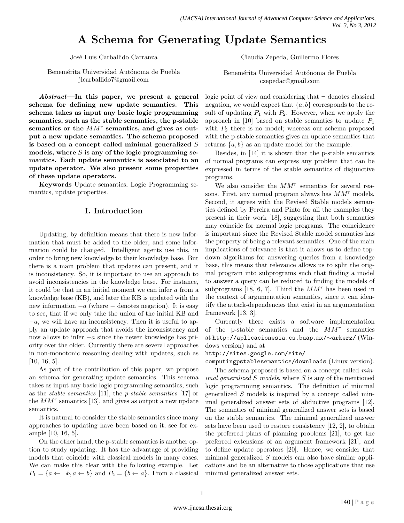# **A Schema for Generating Update Semantics**

José Luis Carballido Carranza

Benemérita Universidad Autónoma de Puebla jlcarballido7@gmail.com

*Abstract***—In this paper, we present a general schema for defining new update semantics. This schema takes as input any basic logic programming semantics, such as the stable semantics, the p-stable semantics or the** *MM<sup>r</sup>* **semantics, and gives as output a new update semantics. The schema proposed is based on a concept called minimal generalized** *S* **models, where** *S* **is any of the logic programming semantics. Each update semantics is associated to an update operator. We also present some properties of these update operators.**

**Keywords** Update semantics, Logic Programming semantics, update properties.

## **I. Introduction**

Updating, by definition means that there is new information that must be added to the older, and some information could be changed. Intelligent agents use this, in order to bring new knowledge to their knowledge base. But there is a main problem that updates can present, and it is inconsistency. So, it is important to use an approach to avoid inconsistencies in the knowledge base. For instance, it could be that in an initial moment we can infer *a* from a knowledge base (KB), and later the KB is updated with the new information *−a* (where *−* denotes negation). It is easy to see, that if we only take the union of the initial KB and *−a*, we will have an inconsistency. Then it is useful to apply an update approach that avoids the inconsistency and now allows to infer *−a* since the newer knowledge has priority over the older. Currently there are several approaches in non-monotonic reasoning dealing with updates, such as [10, 16, 5].

As part of the contribution of this paper, we propose an schema for generating update semantics. This schema takes as input any basic logic programming semantics, such as the *stable semantics* [11], the *p-stable semantics* [17] or the *MM<sup>r</sup>* semantics [13], and gives as output a new update semantics.

It is natural to consider the stable semantics since many approaches to updating have been based on it, see for example [10, 16, 5].

On the other hand, the p-stable semantics is another option to study updating. It has the advantage of providing models that coincide with classical models in many cases. We can make this clear with the following example. Let  $P_1 = \{a \leftarrow \neg b, a \leftarrow b\}$  and  $P_2 = \{b \leftarrow a\}$ . From a classical Claudia Zepeda, Guillermo Flores

Benemérita Universidad Autónoma de Puebla czepedac@gmail.com

logic point of view and considering that  $\neg$  denotes classical negation, we would expect that  ${a, b}$  corresponds to the result of updating  $P_1$  with  $P_2$ . However, when we apply the approach in [10] based on stable semantics to update *P*<sup>1</sup> with  $P_2$  there is no model; whereas our schema proposed with the p-stable semantics gives an update semantics that returns *{a, b}* as an update model for the example.

Besides, in [14] it is shown that the p-stable semantics of normal programs can express any problem that can be expressed in terms of the stable semantics of disjunctive programs.

We also consider the  $MM^r$  semantics for several reasons. First, any normal program always has *MM<sup>r</sup>* models. Second, it agrees with the Revised Stable models semantics defined by Pereira and Pinto for all the examples they present in their work [18], suggesting that both semantics may coincide for normal logic programs. The coincidence is important since the Revised Stable model semantics has the property of being a relevant semantics. One of the main implications of relevance is that it allows us to define topdown algorithms for answering queries from a knowledge base, this means that relevance allows us to split the original program into subprograms such that finding a model to answer a query can be reduced to finding the models of subprograms [18, 6, 7]. Third the *MM<sup>r</sup>* has been used in the context of argumentation semantics, since it can identify the attack-dependencies that exist in an argumentation framework [13, 3].

Currently there exists a software implementation of the p-stable semantics and the *MM<sup>r</sup>* semantics at http://aplicacionesia.cs.buap.mx/*∼*arkerz/ (Windows version) and at

http://sites.google.com/site/

computingpstablesemantics/downloads (Linux version).

The schema proposed is based on a concept called *minimal generalized S models*, where *S* is any of the mentioned logic programming semantics. The definition of minimal generalized *S* models is inspired by a concept called minimal generalized answer sets of abductive programs [12]. The semantics of minimal generalized answer sets is based on the stable semantics. The minimal generalized answer sets have been used to restore consistency [12, 2], to obtain the preferred plans of planning problems [21], to get the preferred extensions of an argument framework [21], and to define update operators [20]. Hence, we consider that minimal generalized *S* models can also have similar applications and be an alternative to those applications that use minimal generalized answer sets.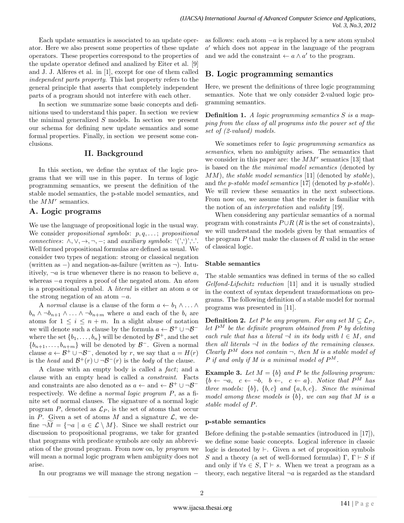Each update semantics is associated to an update operator. Here we also present some properties of these update operators. These properties correspond to the properties of the update operator defined and analized by Eiter et al. [9] and J. J. Alferes et al. in [1], except for one of them called *independent parts property*. This last property refers to the general principle that asserts that completely independent parts of a program should not interfere with each other.

In section we summarize some basic concepts and definitions used to understand this paper. In section we review the minimal generalized *S* models. In section we present our schema for defining new update semantics and some formal properties. Finally, in section we present some conclusions.

## **II. Background**

In this section, we define the syntax of the logic programs that we will use in this paper. In terms of logic programming semantics, we present the definition of the stable model semantics, the p-stable model semantics, and the *MM<sup>r</sup>* semantics.

## **A. Logic programs**

We use the language of propositional logic in the usual way. We consider *propositional symbols*: *p, q, . . .* ; *propositional connectives*:  $\land$ ,  $\lor$ ,  $\rightarrow$ ,  $\neg$ ,  $\neg$ ; and *auxiliary symbols*: '(',')','.'. Well formed propositional formulas are defined as usual. We consider two types of negation: strong or classical negation (written as *−*) and negation-as-failure (written as *¬*). Intuitively,  $\neg a$  is true whenever there is no reason to believe *a*, whereas *−a* requires a proof of the negated atom. An *atom* is a propositional symbol. A *literal* is either an atom *a* or the strong negation of an atom *−a*.

A *normal* clause is a clause of the form  $a \leftarrow b_1 \wedge \ldots \wedge b_n$ *b*<sup>*n*</sup> *∧ →b*<sup>*n*</sup><sub>*n*+*n*</sub> *∧ ... ∧ →b*<sub>*n*+*m*</sub> where *a* and each of the *b*<sup>*i*</sup> are atoms for  $1 \leq i \leq n+m$ . In a slight abuse of notation we will denote such a clause by the formula  $a \leftarrow \mathcal{B}^+ \cup \neg \mathcal{B}^$ where the set  $\{b_1, \ldots, b_n\}$  will be denoted by  $\mathcal{B}^+$ , and the set  ${b_{n+1}, \ldots, b_{n+m}}$  will be denoted by *B*<sup>-</sup>. Given a normal clause  $a \leftarrow \mathcal{B}^+ \cup \neg \mathcal{B}^-$ , denoted by *r*, we say that  $a = H(r)$ is the *head* and  $\mathcal{B}^+(r) \cup \neg \mathcal{B}^-(r)$  is the *body* of the clause.

A clause with an empty body is called a *fact*; and a clause with an empty head is called a *constraint*. Facts and constraints are also denoted as  $a \leftarrow$  and  $\leftarrow \mathcal{B}^+ \cup \neg \mathcal{B}^$ respectively. We define a *normal logic program P*, as a finite set of normal clauses. The signature of a normal logic program  $P$ , denoted as  $\mathcal{L}_P$ , is the set of atoms that occur in *P*. Given a set of atoms *M* and a signature  $\mathcal{L}$ , we define  $\neg M = {\neg a \mid a \in \mathcal{L} \setminus M}$ . Since we shall restrict our discussion to propositional programs, we take for granted that programs with predicate symbols are only an abbreviation of the ground program. From now on, by *program* we will mean a normal logic program when ambiguity does not arise.

In our programs we will manage the strong negation *−*

as follows: each atom *−a* is replaced by a new atom symbol *a ′* which does not appear in the language of the program and we add the constraint  $\leftarrow a \land a'$  to the program.

## **B. Logic programming semantics**

Here, we present the definitions of three logic programming semantics. Note that we only consider 2-valued logic programming semantics.

**Definition 1.** *A logic programming semantics S is a mapping from the class of all programs into the power set of the set of (2-valued) models.*

We sometimes refer to *logic programming semantics* as *semantics*, when no ambiguity arises. The semantics that we consider in this paper are: the *MM<sup>r</sup>* semantics [13] that is based on the *the minimal model semantics* (denoted by *MM*), *the stable model semantics* [11] (denoted by *stable*), and *the p-stable model semantics* [17] (denoted by *p*-*stable*). We will review these semantics in the next subsections. From now on, we assume that the reader is familiar with the notion of an *interpretation* and *validity* [19].

When considering any particular semantics of a normal program with constraints  $P \cup R$  ( $R$  is the set of constraints), we will understand the models given by that semantics of the program *P* that make the clauses of *R* valid in the sense of classical logic.

#### **Stable semantics**

The stable semantics was defined in terms of the so called *Gelfond-Lifschitz reduction* [11] and it is usually studied in the context of syntax dependent transformations on programs. The following definition of a stable model for normal programs was presented in [11].

**Definition 2.** Let P be any program. For any set  $M \subseteq \mathcal{L}_P$ , *let*  $P^M$  *be the definite program obtained from P by deleting each rule that has a literal*  $\neg l$  *in its body with*  $l \in M$ *, and then all literals ¬l in the bodies of the remaining clauses. Clearly*  $P^M$  *does not contain*  $\neg$ *, then M is a stable model of P* if and only if M is a minimal model of  $P^M$ .

**Example 3.** *Let*  $M = \{b\}$  *and*  $P$  *be the following program:*  ${b \leftarrow \neg a, c \leftarrow \neg b, b \leftarrow, c \leftarrow a}$ *. Notice that*  $P^{\tilde{M}}$  *has three models:*  $\{b\}$ ,  $\{b, c\}$  *and*  $\{a, b, c\}$ *. Since the minimal model among these models is {b}, we can say that M is a stable model of P.*

#### **p-stable semantics**

Before defining the p-stable semantics (introduced in [17]), we define some basic concepts. Logical inference in classic logic is denoted by *⊢*. Given a set of proposition symbols *S* and a theory (a set of well-formed formulas)  $\Gamma$ ,  $\Gamma \vdash S$  if and only if  $\forall s \in S$ ,  $\Gamma \vdash s$ . When we treat a program as a theory, each negative literal  $\neg a$  is regarded as the standard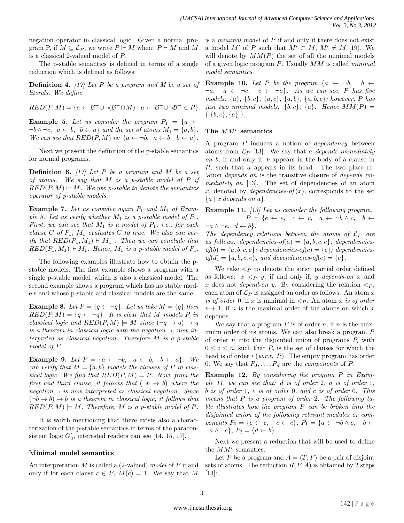negation operator in classical logic. Given a normal program P, if  $M \subseteq \mathcal{L}_P$ , we write  $P \Vdash M$  when:  $P \vdash M$  and M is a classical 2-valued model of *P*.

The p-stable semantics is defined in terms of a single reduction which is defined as follows:

**Definition 4.** *[17] Let P be a program and M be a set of literals. We define*

$$
RED(P, M) = \{a \leftarrow \mathcal{B}^+ \cup \neg(\mathcal{B}^- \cap M) \mid a \leftarrow \mathcal{B}^+ \cup \neg\mathcal{B}^- \in P\}
$$

**Example 5.** Let us consider the program  $P_1 = \{a \leftarrow$  $\neg b \land \neg c$ ,  $a \leftarrow b$ ,  $b \leftarrow a$ } and the set of atoms  $M_1 = \{a, b\}$ . *We can see that*  $RED(P, M)$  *is:*  $\{a \leftarrow \neg b, \ a \leftarrow b, \ b \leftarrow a\}$ *.* 

Next we present the definition of the p-stable semantics for normal programs.

**Definition 6.** *[17] Let P be a program and M be a set of atoms. We say that M is a p-stable model of P if*  $RED(P, M) \Vdash M$ *. We use p-stable to denote the semantics operator of p-stable models.*

Example 7. Let us consider again  $P_1$  and  $M_1$  of Exam*ple 5. Let us verify whether*  $M_1$  *is a p-stable model of*  $P_1$ *. First, we can see that M*<sup>1</sup> *is a model of P*1*, i.e., for each clause*  $C$  *of*  $P_1$ ,  $M_1$  *evaluates*  $C$  *to true. We also can verify that*  $RED(P_1, M_1) \vdash M_1$ . Then we can conclude that  $RED(P_1, M_1) \Vdash M_1$ *. Hence,*  $M_1$  *is a p-stable model of*  $P_1$ *.* 

The following examples illustrate how to obtain the pstable models. The first example shows a program with a single p-stable model, which is also a classical model. The second example shows a program which has no stable models and whose p-stable and classical models are the same.

**Example 8.** Let  $P = \{q \leftarrow \neg q\}$ . Let us take  $M = \{q\}$  then  $RED(P, M) = \{q \leftarrow \neg q\}$ *. It is clear that M* models *P in classical logic and*  $RED(P, M) \models M$  *since*  $(\neg q \rightarrow q) \rightarrow q$ *is a theorem in classical logic with the negation*  $\neg$ , *now interpreted as classical negation. Therefore M is a p-stable model of P.*

**Example 9.** Let  $P = \{a \leftarrow \neg b, a \leftarrow b, b \leftarrow a\}$ . We *can verify that*  $M = \{a, b\}$  *models the clauses of*  $P$  *in classical logic.* We find that  $RED(P, M) = P$ *. Now, from the first and third clause, it follows that*  $(¬b → b)$  *where the*  $negation - is now interpreted as classical negation. Since$  $(¬b → b) → b$  *is a theorem in classical logic, it follows that*  $RED(P, M) \models M$ *. Therefore, M is a p-stable model of P.* 

It is worth mentioning that there exists also a characterization of the p-stable semantics in terms of the paraconsistent logic  $G'_{3}$ , interested readers can see [14, 15, 17].

#### **Minimal model semantics**

An interpretation *M* is called a (2-valued) *model* of *P* if and only if for each clause  $c \in P$ ,  $M(c) = 1$ . We say that M

is a *minimal model* of *P* if and only if there does not exist a model *M'* of *P* such that  $M' \subset M$ ,  $M' \neq M$  [19]. We will denote by  $MM(P)$  the set of all the minimal models of a given logic program *P*. Usually *MM* is called *minimal model semantics*.

**Example 10.** *Let P be the program*  $\{a \leftarrow \neg b, \quad b \leftarrow \}$  $\neg a, \quad a \leftarrow \neg c, \quad c \leftarrow \neg a$ . As we can see, P has five *models: {a}, {b, c}, {a, c}, {a, b}, {a, b, c}; however, P has just two minimal models:*  $\{b, c\}$ ,  $\{a\}$ *. Hence*  $MM(P)$  = *{ {b, c}, {a} }.*

#### **The** *MM<sup>r</sup>* **semantics**

A program *P* induces a notion of *dependency* between atoms from *L<sup>P</sup>* [13]. We say that *a depends immediately on b*, if and only if, *b* appears in the body of a clause in *P*, such that *a* appears in its head. The two place relation *depends on* is the transitive closure of *depends immediately on* [13]. The set of dependencies of an atom x, denoted by *dependencies-of*  $(x)$ , corresponds to the set *{a | x depends on a}*.

**Example 11.** *[13] Let us consider the following program,*  $P = \{e \leftarrow e, \quad c \leftarrow c, \quad a \leftarrow \neg b \land c, \quad b \leftarrow \right\}$  $\neg a \land \neg e, d \leftarrow b$ .

*The dependency relations between the atoms of L<sup>P</sup> are*  $as follows: depends on the  $f(a) = \{a, b, c, e\}$ ; *dependence*$  $of(b) = \{a, b, c, e\}$ ; dependencies-of(*c*) =  $\{c\}$ ; dependencies $of(d) = \{a, b, c, e\}$ ; and dependencies-of(e) =  $\{e\}$ .

We take  $\leq_P$  to denote the strict partial order defined as follows:  $x < p$  *y*, if and only if, *y depends-on x* and x does not *depend-on y*. By considering the relation  $\langle P \rangle$ , each atom of  $\mathcal{L}_P$  is assigned an order as follows: An atom  $x$ *is of order* 0, if x is minimal in  $\leq_P$ . An atom x is of order  $n + 1$ , if *n* is the maximal order of the atoms on which *x* depends.

We say that a program  $P$  is of order  $n$ , if  $n$  is the maximum order of its atoms. We can also break a program *P* of order *n* into the disjointed union of programs *P<sup>i</sup>* with  $0 \leq i \leq n$ , such that  $P_i$  is the set of clauses for which the head is of order *i* (*w.r.t. P*). The empty program has order 0. We say that  $P_0, \ldots, P_n$  are the *components* of *P*.

**Example 12.** *By considering the program P in Example 11, we can see that: d is of order* 2*, a is of order* 1*, b is of order* 1*, e is of order* 0*, and c is of order* 0*. This means that P is a program of order* 2*. The following table illustrates how the program P can be broken into the disjointed union of the following relevant modules or components*  $P_0 = \{e \leftarrow e, \quad c \leftarrow c\}, P_1 = \{a \leftarrow \neg b \land c, \quad b \leftarrow \neg c\}$  $\neg a \land \neg e$ ,  $P_2 = \{d \leftarrow b\}$ .

Next we present a reduction that will be used to define the *MM<sup>r</sup>* semantics.

Let *P* be a program and  $A = \langle T; F \rangle$  be a pair of disjoint sets of atoms. The reduction  $R(P, A)$  is obtained by 2 steps [13]: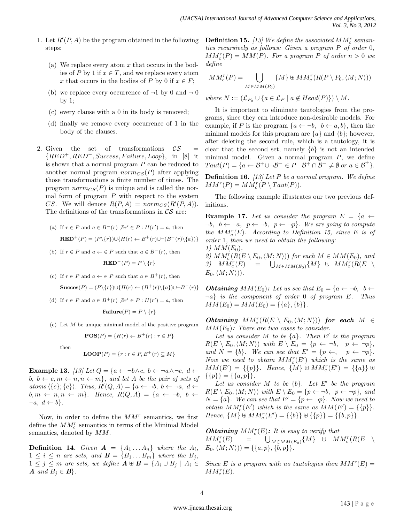- 1. Let *R′* (*P, A*) be the program obtained in the following steps:
	- (a) We replace every atom *x* that occurs in the bodies of *P* by 1 if  $x \in T$ , and we replace every atom x that occurs in the bodies of *P* by 0 if  $x \in F$ ;
	- (b) we replace every occurrence of  $\neg 1$  by 0 and  $\neg 0$ by 1;
	- (c) every clause with a 0 in its body is removed;
	- (d) finally we remove every occurrence of 1 in the body of the clauses.
- 2. Given the set of transformations  $\mathcal{CS}$  = *{RED*<sup>+</sup>*, RED−, Success, F ailure, Loop}*, in [8] it is shown that a normal program *P* can be reduced to another normal program  $norm_{CS}(P)$  after applying those transformations a finite number of times. The program  $norm_{CS}(P)$  is unique and is called the normal form of program *P* with respect to the system *CS*. We will denote  $R(P, A) = norm_{CS}(R'(P, A)).$ The definitions of the transformations in *CS* are:

(a) If 
$$
r \in P
$$
 and  $a \in B^-(r)$   $\nexists r' \in P : H(r') = a$ , then  
\n
$$
\mathbf{RED}^+(P) = (P \setminus \{r\}) \cup \{H(r) \leftarrow B^+(r) \cup \neg(B^-(r) \setminus \{a\}\}\}
$$

(b) If  $r \in P$  and  $a \leftarrow \in P$  such that  $a \in B^-(r)$ , then

$$
\mathbf{RED}^-(P) = P \setminus \{r\}
$$

(c) If  $r \in P$  and  $a \leftarrow \in P$  such that  $a \in B^+(r)$ , then

$$
\mathbf{Success}(P) = (P \setminus \{r\}) \cup \{H(r) \leftarrow (B^+(r) \setminus \{a\}) \cup \neg B^-(r)\}
$$

- (d) If  $r \in P$  and  $a \in B^+(r) \not\exists r' \in P : H(r') = a$ , then **Failure** $(P) = P \setminus \{r\}$
- (e) Let *M* be unique minimal model of the positive program

$$
POS(P) = \{H(r) \leftarrow B^{+}(r) : r \in P\}
$$

then

$$
LOOP(P) = \{r : r \in P, B^+(r) \subseteq M\}
$$

**Example 13.**  $[13]$  Let  $Q = \{a \leftarrow \neg b \land c, b \leftarrow \neg a \land \neg e, d \leftarrow \neg b \land \neg c, d \leftarrow \neg b \land \neg c \}$ *b, b* ← *e,*  $m$  ←  $n, n$  ←  $m$ *},* and let *A be the pair of sets of*  $atoms (\{c\}; \{e\})$ *. Thus,*  $R'(Q, A) = \{a \leftarrow \neg b, b \leftarrow \neg a, d \leftarrow \emptyset\}$  $b, m \leftarrow n, n \leftarrow m$  $}.$  *Hence,*  $R(Q, A) = \{a \leftarrow \neg b, b \leftarrow \neg b, b \leftarrow \neg b, b \leftarrow \neg b, b \leftarrow \neg b, b \leftarrow \neg b, b \leftarrow \neg b, b \leftarrow \neg b, b \leftarrow \neg b, b \leftarrow \neg b, b \leftarrow \neg b, b \leftarrow \neg b, b \leftarrow \neg b, b \leftarrow \neg b, b \leftarrow \neg b, b \leftarrow \neg b, b \leftarrow \neg b, b \leftarrow \neg b, b \leftarrow \neg b, b \leftarrow \neg b, b \leftarrow \neg b, b \leftarrow \neg b, b \leftarrow \neg b,$  $\neg a, d \leftarrow b$ .

Now, in order to define the *MM<sup>r</sup>* semantics, we first define the  $MM_c^r$  semantics in terms of the Minimal Model semantics, denoted by *MM*.

**Definition 14.** *Given*  $A = \{A_1 \dots A_n\}$  *where the*  $A_i$ *,*  $1 \leq i \leq n$  are sets, and  $\mathbf{B} = \{B_1 \dots B_m\}$  where the  $B_j$ ,  $1 \leq j \leq m$  are sets, we define  $A \oplus B = \{A_i \cup B_j \mid A_i \in B_j\}$  $A$  *and*  $B_i \in B$ .

**Definition 15.** [13] We define the associated  $MM_c^r$  seman*tics recursively as follows: Given a program P of order* 0*,*  $MM_c^r(P) = MM(P)$ *. For a program P of order*  $n > 0$  *we define*

$$
MM_c^r(P) = \bigcup_{M \in MM(P_0)} \{M\} \uplus MM_c^r(R(P \setminus P_0, \langle M; N \rangle))
$$

*where*  $N := (\mathcal{L}_{P_0} \cup \{a \in \mathcal{L}_P \mid a \notin Head(P)\}) \setminus M$ .

It is important to eliminate tautologies from the programs, since they can introduce non-desirable models. For example, if *P* is the program  ${a \leftarrow \neg b, b \leftarrow a, b}$ , then the minimal models for this program are *{a}* and *{b}*; however, after deleting the second rule, which is a tautology, it is clear that the second set, namely *{b}* is not an intended minimal model. Given a normal program *P*, we define  $Taut(P) = \{a \leftarrow \mathcal{B}^+ \cup \neg \mathcal{B}^- \in P \mid \mathcal{B}^+ \cap \mathcal{B}^- \neq \emptyset \text{ or } a \in \mathcal{B}^+\}.$ 

**Definition 16.** *[13] Let P be a normal program. We define*  $MM^r(P) = MM_c^r(P \setminus Taut(P)).$ 

The following example illustrates our two previous definitions.

**Example 17.** Let us consider the program  $E = \{a \leftarrow$  $\neg b, \, b \leftarrow \neg a, \, p \leftarrow \neg b, \, p \leftarrow \neg p$ . We are going to compute *the*  $MM_c^r(E)$ *.* According to Definition 15, since *E is of order* 1*, then we need to obtain the following:*  $1)$   $MM(E_0)$ ,

2)  $MM_c^r(R(E \setminus E_0, \langle M; N \rangle))$  *for each*  $M \in MM(E_0)$ *, and 3) MM<sup>r</sup> c*  $(E)$  =  $\bigcup_{M \in MM(E_0)} \{M\}$  ⊎  $MM_c^r(R(E \setminus$ *E*0*,⟨M*; *N⟩*))*.*

*Obtaining*  $MM(E_0)$ : Let us see that  $E_0 = \{a \leftarrow \neg b, \ b \leftarrow \emptyset\}$ *¬a} is the component of order* 0 *of program E. Thus*  $MM(E_0) = MM(E_0) = \{\{a\},\{b\}\}.$ 

 $$  $MM(E_0)$ : *There are two cases to consider.* 

*Let us consider M to be {a}. Then E′ is the program*  $R(E \setminus E_0, \langle M; N \rangle)$  *with*  $E \setminus E_0 = \{p \leftarrow \neg b, \quad p \leftarrow \neg p\}$ , *and*  $N = \{b\}$ *. We can see that*  $E' = \{p \leftarrow, p \leftarrow \neg p\}$ *. Now we need to obtain*  $MM_c^r(E')$  *which is the same as MM*(*E'*) = {{*p*}}*<i>. Hence,* {*M*}  $\uplus$  *MM*<sup>*r*</sup></sup>(*E'*) = {{*a*}}  $\uplus$ *{{p}}* = *{{a, p}}.*

*Let us consider M to be {b}. Let E′ be the program*  $R(E \setminus E_0, \langle M; N \rangle)$  *with*  $E \setminus E_0 = \{p \leftarrow \neg b, p \leftarrow \neg p\}$ , and  $N = \{a\}$ *. We can see that*  $E' = \{p \leftarrow \neg p\}$ *. Now we need to obtain*  $MM_c^r(E')$  *which is the same as*  $MM(E') = \{\{p\}\}.$ *Hence,*  $\{M\} \uplus MM_c^r(E') = \{\{b\}\} \uplus \{\{p\}\} = \{\{b,p\}\}.$ 

*Obtaining*  $MM_c^r(E)$ : It is easy to verify that  $MM_c^r(E)$  = ∪  $M \in MM(E_0)$   $\{M\}$  ⊎  $MM_c^r(R(E \setminus$  $E_0$ ,  $\langle M; N \rangle$ )) = {{ $a, p$ }, { $b, p$ }}*.* 

*Since E is a program with no tautologies then*  $MM^{r}(E) =$  $MM_c^r(E)$ .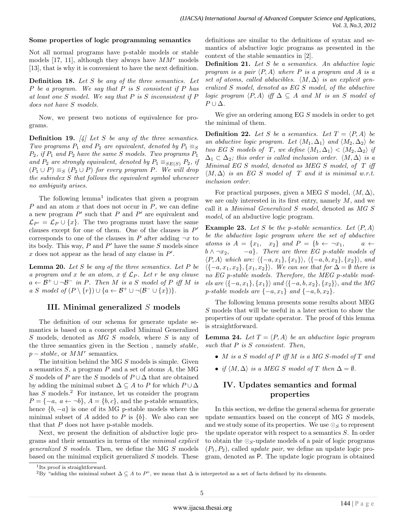#### **Some properties of logic programming semantics**

Not all normal programs have p-stable models or stable models [17, 11], although they always have *MM<sup>r</sup>* models [13], that is why it is convenient to have the next definition.

**Definition 18.** *Let S be any of the three semantics. Let P be a program. We say that P is S consistent if P has at least one S model. We say that P is S inconsistent if P does not have S models.*

Now, we present two notions of equivalence for programs.

**Definition 19.** *[4] Let S be any of the three semantics. Two programs*  $P_1$  *and*  $P_2$  *are equivalent, denoted by*  $P_1 \equiv_S$  $P_2$ , if  $P_1$  *and*  $P_2$  *have the same S models. Two programs*  $P_1$ *and*  $P_2$  *are strongly equivalent, denoted by*  $P_1 \equiv_{S E(S)} P_2$ *, if*  $(P_1 ∪ P) \equiv_S (P_2 ∪ P)$  *for every program P. We will drop the subindex S that follows the equivalent symbol whenever no ambiguity arises.*

The following lemma<sup>1</sup> indicates that given a program *P* and an atom *x* that does not occur in *P*, we can define a new program *P ′* such that *P* and *P ′* are equivalent and  $\mathcal{L}_{P'} = \mathcal{L}_P \cup \{x\}$ . The two programs must have the same clauses except for one of them. One of the clauses in *P ′* corresponds to one of the clauses in *P* after adding  $\neg x$  to its body. This way, *P* and *P ′* have the same *S* models since *x* does not appear as the head of any clause in *P ′* .

**Lemma 20.** *Let S be any of the three semantics. Let P be a program and x be an atom,*  $x \notin \mathcal{L}_P$ *. Let r be any clause*  $a \leftarrow \mathcal{B}^+ \cup \neg \mathcal{B}^-$  *in P. Then M is a S model of P iff M is a S model of*  $(P \setminus \{r\}) \cup \{a \leftarrow B^+ \cup \neg(B^- \cup \{x\}\}\)$ .

## **III. Minimal generalized** *S* **models**

The definition of our schema for generate update semantics is based on a concept called Minimal Generalized *S* models, denoted as *MG S models*, where *S* is any of the three semantics given in the Section , namely *stable*, *p* − *stable*, or  $MM<sup>r</sup>$  semantics.

The intuition behind the MG *S* models is simple. Given a semantics *S*, a program *P* and a set of atoms *A*, the MG *S* models of *P* are the *S* models of  $P \cup \Delta$  that are obtained by adding the minimal subset  $\Delta \subseteq A$  to *P* for which  $P \cup \Delta$ has *S* models.<sup>2</sup> For instance, let us consider the program  $P = \{-a, a \leftarrow \neg b\}, A = \{b, c\}, \text{and the p-stable semantics, }$ hence  ${b, -a}$  is one of its MG p-stable models where the minimal subset of *A* added to *P* is  $\{b\}$ . We also can see that that *P* does not have p-stable models.

Next, we present the definition of abductive logic programs and their semantics in terms of the *minimal explicit generalized S models*. Then, we define the MG *S* models based on the minimal explicit generalized *S* models. These

definitions are similar to the definitions of syntax and semantics of abductive logic programs as presented in the context of the stable semantics in [2].

**Definition 21.** *Let S be a semantics. An abductive logic program is a pair*  $\langle P, A \rangle$  *where P is a program and A is a set of atoms, called abducibles.*  $\langle M, \Delta \rangle$  *is an explicit generalized S model, denoted as EG S model, of the abductive logic program*  $\langle P, A \rangle$  *iff*  $\Delta \subseteq A$  *and M is an S model of*  $P \cup \Delta$ *.* 

We give an ordering among EG *S* models in order to get the minimal of them.

**Definition 22.** Let *S* be a semantics. Let  $T = \langle P, A \rangle$  be *an abductive logic program. Let*  $\langle M_1, \Delta_1 \rangle$  *and*  $\langle M_2, \Delta_2 \rangle$  *be two EG S models of T*, we define  $\langle M_1, \Delta_1 \rangle < \langle M_2, \Delta_2 \rangle$  *if*  $\Delta_1 \subset \Delta_2$ *; this order is called inclusion order.*  $\langle M, \Delta \rangle$  *is a Minimal EG S model, denoted as MEG S model, of T iff*  $\langle M, \Delta \rangle$  *is an EG S model of T and it is minimal w.r.t. inclusion order.*

For practical purposes, given a MEG *S* model,  $\langle M, \Delta \rangle$ , we are only interested in its first entry, namely *M*, and we call it a *Minimal Generalized S model*, denoted as *MG S model*, of an abductive logic program.

**Example 23.** *Let S be the p-stable semantics. Let*  $\langle P, A \rangle$ *be the abductive logic program where the set of abductive atoms is*  $A = \{x_1, x_2\}$  *and*  $P = \{b \leftarrow \neg x_1, a \leftarrow \neg x_2\}$  $b \wedge \neg x_2$ ,  $-a$ *}. There are three EG p-stable models of ⟨P, A⟩ which are: ⟨{−a, x*1*}, {x*1*}⟩, ⟨{−a, b, x*2*}, {x*2*}⟩, and ⟨{−a, x*1*, x*2*}, {x*1*, x*2*}⟩. We can see that for* ∆ = *∅ there is no EG p-stable models. Therefore, the MEG p-stable models are ⟨{−a, x*1*}, {x*1*}⟩ and ⟨{−a, b, x*2*}, {x*2*}⟩, and the MG p-stable models are {−a, x*1*} and {−a, b, x*2*}.*

The following lemma presents some results about MEG *S* models that will be useful in a later section to show the properties of our update operator. The proof of this lemma is straightforward.

**Lemma 24.** *Let*  $T = \langle P, A \rangle$  *be an abductive logic program such that P is S consistent. Then,*

- *• M is a S model of P iff M is a MG S-model of T and*
- *if*  $\langle M, \Delta \rangle$  *is a MEG S model of T then*  $\Delta = \emptyset$ *.*

# **IV. Updates semantics and formal properties**

In this section, we define the general schema for generate update semantics based on the concept of MG *S* models, and we study some of its properties. We use  $\odot$ *S* to represent the update operator with respect to a semantics *S*. In order to obtain the *⊙S*-update models of a pair of logic programs  $(P_1, P_2)$ , called *update pair*, we define an update logic program, denoted as P. The update logic program is obtained

<sup>&</sup>lt;sup>1</sup>Its proof is straightforward.

<sup>&</sup>lt;sup>2</sup>By "adding the minimal subset  $\Delta \subseteq A$  to *P*", we mean that  $\Delta$  is interpreted as a set of facts defined by its elements.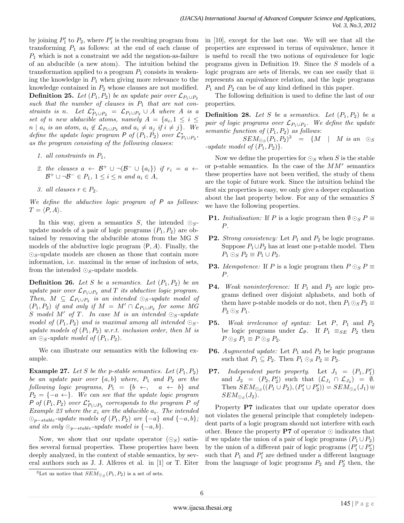by joining  $P'_1$  to  $P_2$ , where  $P'_1$  is the resulting program from transforming  $P_1$  as follows: at the end of each clause of *P*<sup>1</sup> which is not a constraint we add the negation-as-failure of an abducible (a new atom). The intuition behind the transformation applied to a program  $P_1$  consists in weakening the knowledge in  $P_1$  when giving more relevance to the knowledge contained in *P*<sup>2</sup> whose clauses are not modified. **Definition 25.** *Let*  $(P_1, P_2)$  *be an update pair over*  $\mathcal{L}_{P_1 \cup P_2}$ such that the number of clauses in  $P_1$  that are not con*straints is n*. Let  $\mathcal{L}_{P_1 \cup P_2}^* = \mathcal{L}_{P_1 \cup P_2} \cup A$  where *A is a set of n new abducible atoms, namely*  $A = \{a_i, 1 \leq i \leq n\}$  $n | a_i$  *is an atom,*  $a_i \notin \mathcal{L}_{P_1 \cup P_2}$  *and*  $a_i \neq a_j$  *if*  $i \neq j$ *}. We define the update logic program P of*  $(P_1, P_2)$  *over*  $\mathcal{L}_{P_1 \cup P_2}^*$ , *as the program consisting of the following clauses:*

- *1. all constraints in P*1*,*
- *2. the clauses*  $a \leftarrow \mathcal{B}^+ \cup \neg(\mathcal{B}^- \cup \{a_i\})$  *if*  $r_i = a \leftarrow$ *B*<sup>+</sup> ∪  $\neg$ *B*<sup>*−*</sup>  $\in$  *P*<sub>1</sub>*,* 1  $\leq$  *i*  $\leq$  *n and a<sub>i</sub>*  $\in$  *A,*
- *3. all clauses*  $r \in P_2$ .

*We define the abductive logic program of P as follows:*  $T = \langle P, A \rangle$ *.* 

In this way, given a semantics *S*, the intended *⊙S*update models of a pair of logic programs  $(P_1, P_2)$  are obtained by removing the abducible atoms from the MG *S* models of the abductive logic program *⟨*P*, A⟩*. Finally, the *⊙S*-update models are chosen as those that contain more information, i.e. maximal in the sense of inclusion of sets, from the intended *⊙S*-update models.

**Definition 26.** Let *S* be a semantics. Let  $(P_1, P_2)$  be an *update pair over*  $\mathcal{L}_{P_1 \cup P_2}$  *and*  $T$  *its abductive logic program. Then,*  $M \subseteq \mathcal{L}_{P_1 \cup P_2}$  *is an intended*  $\odot_S$ *-update model of*  $(P_1, P_2)$  *if and only if*  $M = M' \cap \mathcal{L}_{P_1 \cup P_2}$  *for some MG S model M′ of T. In case M is an intended ⊙S-update model of*  $(P_1, P_2)$  *and is maximal among all intended*  $\odot$ *Supdate models of*  $(P_1, P_2)$  *w.r.t. inclusion order, then M is*  $an \odot$ <sub>*S*</sub>-update model of  $(P_1, P_2)$ .

We can illustrate our semantics with the following example.

**Example 27.** Let *S* be the *p*-stable semantics. Let  $(P_1, P_2)$ *be an update pair over {a, b} where, P*<sup>1</sup> *and P*<sup>2</sup> *are the following logic programs,*  $P_1 = \{b \leftarrow, a \leftarrow b\}$  *and*  $P_2 = \{-a \leftarrow\}$ *. We can see that the update logic program P of*  $(P_1, P_2)$  *over*  $\mathcal{L}_{P_1 \cup P_2}^*$  *corresponds to the program P of Example 23 where the*  $x_i$  *are the abducible*  $a_i$ *. The intended ⊙*<sub>*p*−</sub>*stable*<sup>*-update models of*  $(P_1, P_2)$  *are*  $\{-a\}$  *and*  $\{-a, b\}$ *;*</sup> *and its only*  $\odot_{p-stable}$ *-update model is*  $\{-a, b\}$ *.* 

Now, we show that our update operator  $(\odot_S)$  satisfies several formal properties. These properties have been deeply analyzed, in the context of stable semantics, by several authors such as J. J. Alferes et al. in [1] or T. Eiter in [10], except for the last one. We will see that all the properties are expressed in terms of equivalence, hence it is useful to recall the two notions of equivalence for logic programs given in Definition 19. Since the *S* models of a logic program are sets of literals, we can see easily that *≡* represents an equivalence relation, and the logic programs *P*<sup>1</sup> and *P*<sup>2</sup> can be of any kind defined in this paper.

The following definition is used to define the last of our properties.

**Definition 28.** Let *S* be a semantics. Let  $(P_1, P_2)$  be a *pair of logic programs over L<sup>P</sup>*1*∪P*<sup>2</sup> *. We define the update semantic function of* (*P*1*, P*2) *as follows:*

 $SEM_{\odot S}(P_1, P_2)^3 = \{M \mid M \text{ is an } \odot_S$ *-update model of*  $(P_1, P_2)$ *}.* 

Now we define the properties for *⊙<sup>S</sup>* when *S* is the stable or p-stable semantics. In the case of the *MM<sup>r</sup>* semantics these properties have not been verified, the study of them are the topic of future work. Since the intuition behind the first six properties is easy, we only give a deeper explanation about the last property below. For any of the semantics *S* we have the following properties.

- **P1.** *Initialisation:* If *P* is a logic program then  $\emptyset \odot_S P \equiv$ *P*.
- **P2.** *Strong consistency:* Let  $P_1$  and  $P_2$  be logic programs. Suppose  $P_1 \cup P_2$  has at least one p-stable model. Then  $P_1 \odot_S P_2 \equiv P_1 \cup P_2$ .
- **P3.** *Idempotence:* If *P* is a logic program then  $P \odot_S P \equiv$ *P*.
- **P4.** *Weak noninterference:* If *P*<sup>1</sup> and *P*<sup>2</sup> are logic programs defined over disjoint alphabets, and both of them have p-stable models or do not, then  $P_1 \odot_S P_2 \equiv$  $P_2 \odot_S P_1$ .
- **P5.** *Weak irrelevance of syntax:* Let  $P$ ,  $P_1$  and  $P_2$ be logic programs under  $\mathcal{L}_{P}$ . If  $P_1 \equiv_{SE} P_2$  then  $P \odot_S P_1 \equiv P \odot_S P_2$ .
- **P6.** *Augmented update:* Let  $P_1$  and  $P_2$  be logic programs such that  $P_1 \subseteq P_2$ . Then  $P_1 \odot_S P_2 \equiv P_2$ .
- **P7.** Independent parts property. Let  $J_1 = (P_1, P'_1)$ and  $J_2 = (P_2, P'_2)$  such that  $(\mathcal{L}_{J_1} \cap \mathcal{L}_{J_2}) = \emptyset$ . Then  $SEM_{\odot S}((P_1 \cup P_2), (P'_1 \cup P'_2)) = SEM_{\odot S}(J_1) \; \forall$  $SEM_{\odot_S}(J_2)$ .

Property **P7** indicates that our update operator does not violates the general principle that completely independent parts of a logic program should not interfere with each other. Hence the property **P7** of operator *⊙* indicates that if we update the union of a pair of logic programs  $(P_1 \cup P_2)$ by the union of a different pair of logic programs  $(P'_1 \cup P'_2)$ such that  $P_1$  and  $P'_1$  are defined under a different language from the language of logic programs  $P_2$  and  $P'_2$  then, the

<sup>&</sup>lt;sup>3</sup>Let us notice that  $SEM_{\odot_S}(P_1, P_2)$  is a set of sets.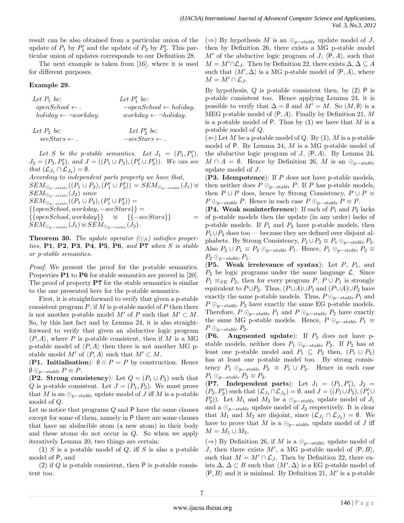result can be also obtained from a particular union of the update of  $P_1$  by  $P'_1$  and the update of  $P_2$  by  $P'_2$ . This particular union of updates corresponds to our Definition 28.

The next example is taken from [16], where it is used for different purposes.

#### **Example 29.**

| Let $P_1$ be:                      | Let $P'_1$ be:                     |
|------------------------------------|------------------------------------|
| $open School \leftarrow$ .         | $-open School \leftarrow holiday.$ |
| $holding \leftarrow \neg workday.$ | $workday \leftarrow \neg holiday.$ |
|                                    |                                    |

| Let $P_2$ be:            | Let $P'_2$ be:            |
|--------------------------|---------------------------|
| $see Stars \leftarrow$ . | $-see Stars \leftarrow$ . |

Let *S* be the *p*-stable semantics. Let  $J_1 = (P_1, P'_1)$ ,  $J_2 = (P_2, P'_2)$ *, and*  $J = ((P_1 \cup P_2), (P'_1 \cup P'_2))$ *. We can see that*  $(\mathcal{L}_{J_1} \cap \mathcal{L}_{J_2}) = \emptyset$ *.* 

*According to independent parts property we have that,*  $\sum_{P \in \mathcal{F}} \text{EM}_{\mathcal{O}_{P} - \text{stable}}((P_1 \cup P_2), (P'_1 \cup P'_2)) = SEM_{\mathcal{O}_{P} - \text{stable}}(J_1) \; \forall i$ *SEM<sup>⊙</sup>p−stable* (*J*2) *since*  $SEM_{\odot_{p-stable}}((P_1 \cup P_2), (P'_1 \cup P'_2)) =$ *{{openSchool, workday, −seeStars}}* = *{{openSchool, workday}* }  $SEM_{\odot p - stable}(J_1) \oplus SEM_{\odot p - stable}(J_2)$ .

**Theorem 30.** *The update operator*  $(\bigcirc_S)$  *satisfies properties,* **P1***,* **P2***,* **P3***,* **P4***,* **P5***,* **P6***, and* **P7** *when S is stable or p-stable semantics.*

*Proof.* We present the proof for the p-stable semantics. Properties **P1** to **P6** for stable semantics are proved in [20]. The proof of property **P7** for the stable semantics is similar to the one presented here for the p-stable semantics.

First, it is straightforward to verify that given a p-stable consistent program *P*, if *M* is p-stable model of *P* then there is not another p-stable model  $M'$  of  $P$  such that  $M' \subset M$ . So, by this last fact and by Lemma 24, it is also straightforward to verify that given an abductive logic program  $\langle P, A \rangle$ , where P is p-stable consistent, then if M is a MG p-stable model of  $\langle P, A \rangle$  then there is not another MG pstable model  $M'$  of  $\langle P, A \rangle$  such that  $M' \subset M$ .

**(P1. Initialisation**):  $\emptyset \odot P = P$  by construction. Hence  $\emptyset$  ⊙<sub>*p*−*stable*  $P \equiv P$ .</sub>

(**P2. Strong consistency**): Let  $Q = (P_1 \cup P_2)$  such that *Q* is p-stable consistent. Let  $J = (P_1, P_2)$ . We must prove that *M* is an  $\odot_{p-stable}$  update model of *J* iff *M* is a p-stable model of *Q*.

Let us notice that programs *Q* and P have the same clauses except for some of them, namely in P there are some clauses that have an abducible atom (a new atom) in their body and these atoms do not occur in *Q*. So when we apply iteratively Lemma 20, two things are certain:

(1) *S* is a p-stable model of *Q*, iff *S* is also a p-stable model of P, and

(2) if *Q* is p-stable consistent, then P is p-stable consistent too.

(*⇒*) By hypothesis *M* is an *⊙<sup>p</sup>−stable* update model of *J*, then by Definition 26, there exists a MG p-stable model  $M'$  of the abductive logic program of *J*,  $\langle P, A \rangle$ , such that  $M = M' \cap \mathcal{L}_J$ . Then by Definition 22, there exists  $\Delta, \Delta \subseteq A$ such that  $\langle M', \Delta \rangle$  is a MG p-stable model of  $\langle P, A \rangle$ , where  $M = M' \cap L_J$ .

By hypothesis, *Q* is p-stable consistent then, by (2) P is p-stable consistent too. Hence applying Lemma 24, it is possible to verify that  $\Delta = \emptyset$  and  $M' = M$ . So  $\langle M, \emptyset \rangle$  is a MEG p-stable model of *⟨*P*, A⟩*. Finally by Definition 21, *M* is a p-stable model of P. Thus by (1) we have that *M* is a p-stable model of *Q*.

 $(\Leftarrow)$  Let *M* be a p-stable model of *Q*. By (1), *M* is a p-stable model of P. By Lemma 24, *M* is a MG p-stable model of the abductive logic program of *J*,  $\langle P, A \rangle$ . By Lemma 24, *M* ∩ *A* =  $\emptyset$ . Hence by Definition 26, *M* is an  $\odot_{p-stable}$ update model of *J*.

(**P3. Idempotence**): If *P* does not have p-stable models, then neither does  $P \odot_{p-stable} P$ . If *P* has p-stable models, then  $P \cup P$  does, hence by Strong Consistency,  $P \cup P \equiv$ *P* ⊙<sup>*p*</sup>*−stable P*. Hence in each case  $P$  ⊙<sup>*p*</sup>*−stable*  $P$   $\equiv$  *P*.

(**P4.** Weak noninterference): If each of  $P_1$  and  $P_2$  lacks of p-stable models then the update (in any order) lacks of p-stable models. If *P*<sup>1</sup> and *P*<sup>2</sup> have p-stable models, then *P*<sub>1</sub>∪*P*<sub>2</sub> does too — because they are defined over disjoint alphabets. By Strong Consistency,  $P_1 \cup P_2 \equiv P_1 \odot_{p-stable} P_2$ . Also  $P_2 \cup P_1 \equiv P_2 \odot_{p-stable} P_1$ . Hence,  $P_1 \odot_{p-stable} P_2 \equiv$  $P_2 \odot_{p-stable} P_1$ .

(**P5. Weak irrelevance of syntax**): Let *P*, *P*1, and  $P_2$  be logic programs under the same language  $\mathcal{L}$ . Since  $P_1 \equiv_{SE} P_2$ , then for every program  $P, P \cup P_1$  is strongly equivalent to  $P \cup P_2$ . Thus,  $(P \cup A) \cup P_1$  and  $(P \cup A) \cup P_2$  have exactly the same p-stable models. Thus,  $P \odot_{p-stable} P_1$  and  $P \odot_{p-stable} P_2$  have exactly the same EG p-stable models. Therefore,  $P \odot_{p-stable} P_1$  and  $P \odot_{p-stable} P_2$  have exactly the same MG p-stable models. Hence,  $P \odot_{p-stable} P_1 \equiv$  $P \odot_{p-stable} P_2$ .

(**P6. Augmented update**): If *P*<sup>2</sup> does not have pstable models, neither does  $P_1 \odot_{p-stable} P_2$ . If  $P_2$  has at least one p-stable model and  $P_1 \subseteq P_2$  then,  $(P_1 \cup P_2)$ has at least one p-stable model too. By strong consistency  $P_1 \odot_{p-stable} P_2 \equiv P_1 \cup P_2$ . Hence in each case  $P_1 \odot_{p-stable} P_2 \equiv P_2.$ 

(**P7.** Independent parts): Let  $J_1 = (P_1, P'_1), J_2 =$  $(P_2, P'_2)$  such that  $(\mathcal{L}_{J_1} \cap \mathcal{L}_{J_2}) = \emptyset$ , and  $J = ((P_1 \cup P_2), (P'_1 \cup P'_2))$  $(P'_2)$ ). Let *M*<sub>1</sub> and *M*<sub>2</sub> be a *⊙*<sub>*p*−*stable* update model of *J*<sub>1</sub></sub> and a  $\odot_{p-stable}$  update model of  $J_2$  respectively. It is clear that  $M_1$  and  $M_2$  are disjoint, since  $(\mathcal{L}_{J_1} \cap \mathcal{L}_{J_2}) = \emptyset$ . We have to prove that *M* is a  $\odot_{p-stable}$  update model of *J* iff *M* = *M*<sub>1</sub> ∪ *M*<sub>2</sub>.

(*⇒*) By Definition 26, if *M* is a *⊙<sup>p</sup>−stable* update model of *J*, then there exists  $M'$ , a MG p-stable model of  $\langle P, B \rangle$ , such that  $M = M' \cap \mathcal{L}_J$ . Then by Definition 22, there exists  $\Delta$ ,  $\Delta \subset B$  such that  $\langle M', \Delta \rangle$  is a EG p-stable model of  $\langle P, B \rangle$  and it is minimal. By Definition 21, M' is a p-stable